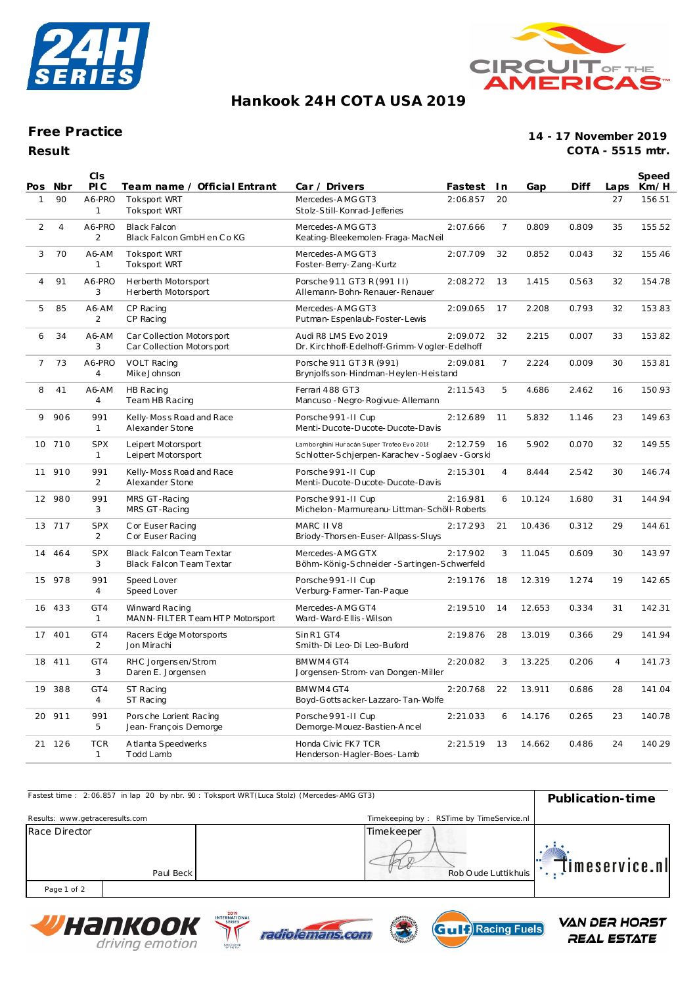



## **Hankook 24H COT A USA 2019**

### **Free Practice**

**14 - 17 November 2019 COTA - 5515 mtr.**

| Result |  |  |
|--------|--|--|

| Pos            | Nbr            | CIS<br>PIC                 | Team name / Official Entrant                                | Car / Drivers                                                                            | Fastest In |                | Gap    | Diff  | Laps           | Speed<br>Km/H |
|----------------|----------------|----------------------------|-------------------------------------------------------------|------------------------------------------------------------------------------------------|------------|----------------|--------|-------|----------------|---------------|
| $\mathbf{1}$   | 90             | A6-PRO<br>$\mathbf{1}$     | Toksport WRT<br><b>Toksport WRT</b>                         | Mercedes-AMG GT3<br>Stolz-Still-Konrad-Jefferies                                         | 2:06.857   | 20             |        |       | 27             | 156.51        |
| $\overline{2}$ | $\overline{4}$ | A6-PRO<br>$\overline{2}$   | <b>Black Falcon</b><br>Black Falcon GmbH en Co KG           | Mercedes-AMG GT3<br>Keating-Bleekemolen-Fraga-MacNeil                                    | 2:07.666   | $\overline{7}$ | 0.809  | 0.809 | 35             | 155.52        |
| 3              | 70             | A6-AM<br>1                 | <b>Toksport WRT</b><br><b>Toksport WRT</b>                  | Mercedes-AMG GT3<br>Foster-Berry-Zang-Kurtz                                              | 2:07.709   | 32             | 0.852  | 0.043 | 32             | 155.46        |
| $\overline{4}$ | 91             | A6-PRO<br>3                | Herberth Motorsport<br>Herberth Motorsport                  | Porsche 911 GT3 R (991 II)<br>Allemann-Bohn-Renauer-Renauer                              | 2:08.272   | 13             | 1.415  | 0.563 | 32             | 154.78        |
| 5              | 85             | A6-AM<br>2                 | CP Racing<br>CP Racing                                      | Mercedes-AMG GT3<br>Putman-Espenlaub-Foster-Lewis                                        | 2:09.065   | 17             | 2.208  | 0.793 | 32             | 153.83        |
| 6              | 34             | A6-AM<br>3                 | Car Collection Motorsport<br>Car Collection Motorsport      | Audi R8 LMS Evo 2019<br>Dr. Kirchhoff-Edelhoff-Grimm-Vogler-Edelhoff                     | 2:09.072   | 32             | 2.215  | 0.007 | 33             | 153.82        |
| $\overline{7}$ | 73             | A6-PRO<br>$\overline{4}$   | VOLT Racing<br>Mike Johnson                                 | Porsche 911 GT3R (991)<br>Brynjolfsson-Hindman-Heylen-Heistand                           | 2:09.081   | $\overline{7}$ | 2.224  | 0.009 | 30             | 153.81        |
| 8              | 41             | A6-AM<br>4                 | HB Racing<br>Team HB Racing                                 | Ferrari 488 GT3<br>Mancuso - Negro-Rogivue-Allemann                                      | 2:11.543   | 5              | 4.686  | 2.462 | 16             | 150.93        |
| 9              | 906            | 991<br>$\mathbf{1}$        | Kelly-Moss Road and Race<br>Alexander Stone                 | Porsche 991-II Cup<br>Menti-Ducote-Ducote-Ducote-Davis                                   | 2:12.689   | 11             | 5.832  | 1.146 | 23             | 149.63        |
|                | 10 710         | <b>SPX</b><br>$\mathbf{1}$ | Leipert Motorsport<br>Leipert Motorsport                    | Lamborghini Huracán Super Trofeo Evo 2018<br>Schlotter-Schierpen-Karachev-Soglaev-Gorski | 2:12.759   | 16             | 5.902  | 0.070 | 32             | 149.55        |
|                | 11 910         | 991<br>$\overline{2}$      | Kelly-Moss Road and Race<br>Alexander Stone                 | Porsche 991-II Cup<br>Menti-Ducote-Ducote-Ducote-Davis                                   | 2:15.301   | $\overline{4}$ | 8.444  | 2.542 | 30             | 146.74        |
|                | 12 980         | 991<br>3                   | MRS GT-Racing<br>MRS GT-Racing                              | Porsche 991-II Cup<br>Michelon - Marmureanu-Littman - Schöll-Roberts                     | 2:16.981   | 6              | 10.124 | 1.680 | 31             | 144.94        |
|                | 13 717         | <b>SPX</b><br>2            | C or Euser Racing<br>C or Euser Racing                      | MARC II V8<br>Briody-Thorsen-Euser-Allpass-Sluys                                         | 2:17.293   | 21             | 10.436 | 0.312 | 29             | 144.61        |
| 14             | 464            | <b>SPX</b><br>3            | <b>Black Falcon Team Textar</b><br>Black Falcon Team Textar | Mercedes-AMG GTX<br>Böhm-König-Schneider-Sartingen-Schwerfeld                            | 2:17.902   | 3              | 11.045 | 0.609 | 30             | 143.97        |
|                | 15 978         | 991<br>4                   | Speed Lover<br>Speed Lover                                  | Porsche 991-II Cup<br>Verburg-Farmer-Tan-Pague                                           | 2:19.176   | 18             | 12.319 | 1.274 | 19             | 142.65        |
|                | 16 433         | GT4<br>$\mathbf{1}$        | Winward Racing<br>MANN-FILTER Team HTP Motorsport           | Mercedes-AMG GT4<br>Ward-Ward-Ellis-Wilson                                               | 2:19.510   | 14             | 12.653 | 0.334 | 31             | 142.31        |
|                | 17 401         | GT4<br>2                   | Racers Edge Motorsports<br>Jon Mirachi                      | SinR1 GT4<br>Smith-Di Leo-Di Leo-Buford                                                  | 2:19.876   | 28             | 13.019 | 0.366 | 29             | 141.94        |
|                | 18 411         | GT4<br>3                   | RHC Jorgensen/Strom<br>Daren E. Jorgensen                   | BMWM4 GT4<br>Jorgensen-Strom-van Dongen-Miller                                           | 2:20.082   | 3              | 13.225 | 0.206 | $\overline{4}$ | 141.73        |
| 19             | 388            | GT4<br>$\overline{4}$      | ST Racing<br>ST Racing                                      | BMWM4 GT4<br>Boyd-Gotts acker-Lazzaro-Tan-Wolfe                                          | 2:20.768   | 22             | 13.911 | 0.686 | 28             | 141.04        |
|                | 20 911         | 991<br>5                   | Porsche Lorient Racing<br>Jean-François Demorge             | Porsche 991-II Cup<br>Demorge-Mouez-Bastien-Ancel                                        | 2:21.033   | 6              | 14.176 | 0.265 | 23             | 140.78        |
|                | 21 126         | <b>TCR</b><br>$\mathbf{1}$ | A tlanta Speedwerks<br>Todd Lamb                            | Honda Civic FK7 TCR<br>Henderson-Hagler-Boes-Lamb                                        | 2:21.519   | 13             | 14.662 | 0.486 | 24             | 140.29        |

| Fastest time: 2:06.857 in lap 20 by nbr. 90: Toksport WRT(Luca Stolz) (Mercedes-AMG GT3) | Publication-time |                                          |                |
|------------------------------------------------------------------------------------------|------------------|------------------------------------------|----------------|
| Results: www.getraceresults.com                                                          |                  | Timekeeping by: RSTime by TimeService.nl |                |
| Race Director<br>Paul Beck                                                               |                  | Timekeeper<br>Rob O ude Luttikhuis       | timeservice.nl |
| Page 1 of 2                                                                              |                  |                                          |                |